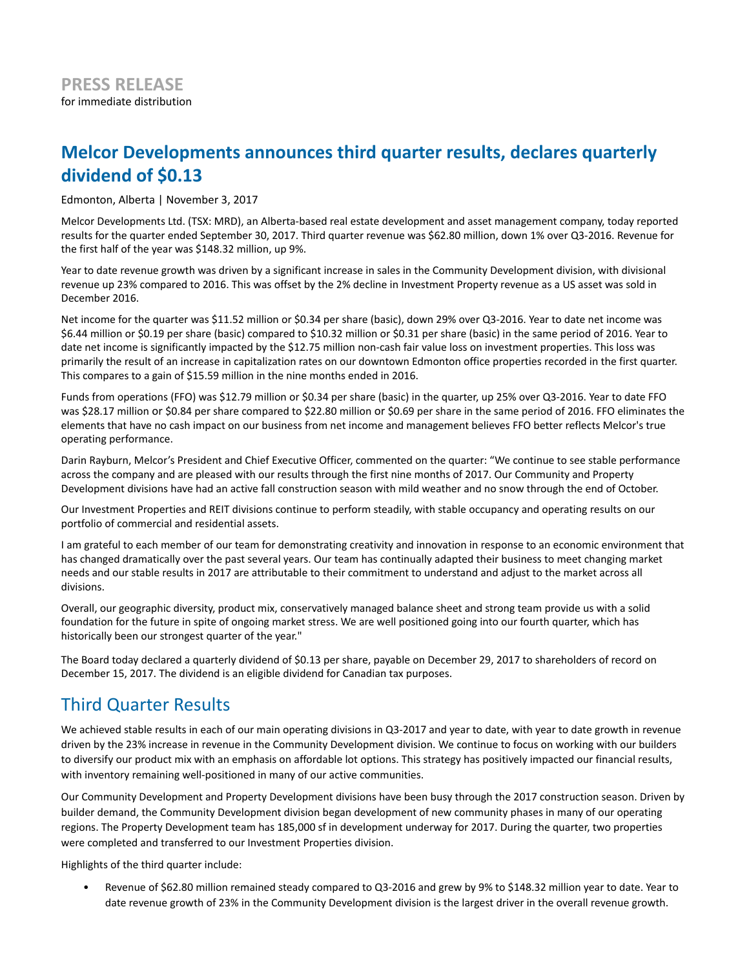# **Melcor Developments announces third quarter results, declares quarterly dividend of \$0.13**

Edmonton, Alberta | November 3, 2017

Melcor Developments Ltd. (TSX: MRD), an Alberta-based real estate development and asset management company, today reported results for the quarter ended September 30, 2017. Third quarter revenue was \$62.80 million, down 1% over Q3-2016. Revenue for the first half of the year was \$148.32 million, up 9%.

Year to date revenue growth was driven by a significant increase in sales in the Community Development division, with divisional revenue up 23% compared to 2016. This was offset by the 2% decline in Investment Property revenue as a US asset was sold in December 2016.

Net income for the quarter was \$11.52 million or \$0.34 per share (basic), down 29% over Q3-2016. Year to date net income was \$6.44 million or \$0.19 per share (basic) compared to \$10.32 million or \$0.31 per share (basic) in the same period of 2016. Year to date net income is significantly impacted by the \$12.75 million non-cash fair value loss on investment properties. This loss was primarily the result of an increase in capitalization rates on our downtown Edmonton office properties recorded in the first quarter. This compares to a gain of \$15.59 million in the nine months ended in 2016.

Funds from operations (FFO) was \$12.79 million or \$0.34 per share (basic) in the quarter, up 25% over Q3-2016. Year to date FFO was \$28.17 million or \$0.84 per share compared to \$22.80 million or \$0.69 per share in the same period of 2016. FFO eliminates the elements that have no cash impact on our business from net income and management believes FFO better reflects Melcor's true operating performance.

Darin Rayburn, Melcor's President and Chief Executive Officer, commented on the quarter: "We continue to see stable performance across the company and are pleased with our results through the first nine months of 2017. Our Community and Property Development divisions have had an active fall construction season with mild weather and no snow through the end of October.

Our Investment Properties and REIT divisions continue to perform steadily, with stable occupancy and operating results on our portfolio of commercial and residential assets.

I am grateful to each member of our team for demonstrating creativity and innovation in response to an economic environment that has changed dramatically over the past several years. Our team has continually adapted their business to meet changing market needs and our stable results in 2017 are attributable to their commitment to understand and adjust to the market across all divisions.

Overall, our geographic diversity, product mix, conservatively managed balance sheet and strong team provide us with a solid foundation for the future in spite of ongoing market stress. We are well positioned going into our fourth quarter, which has historically been our strongest quarter of the year."

The Board today declared a quarterly dividend of \$0.13 per share, payable on December 29, 2017 to shareholders of record on December 15, 2017. The dividend is an eligible dividend for Canadian tax purposes.

## Third Quarter Results

We achieved stable results in each of our main operating divisions in Q3-2017 and year to date, with year to date growth in revenue driven by the 23% increase in revenue in the Community Development division. We continue to focus on working with our builders to diversify our product mix with an emphasis on affordable lot options. This strategy has positively impacted our financial results, with inventory remaining well-positioned in many of our active communities.

Our Community Development and Property Development divisions have been busy through the 2017 construction season. Driven by builder demand, the Community Development division began development of new community phases in many of our operating regions. The Property Development team has 185,000 sf in development underway for 2017. During the quarter, two properties were completed and transferred to our Investment Properties division.

Highlights of the third quarter include:

• Revenue of \$62.80 million remained steady compared to Q3-2016 and grew by 9% to \$148.32 million year to date. Year to date revenue growth of 23% in the Community Development division is the largest driver in the overall revenue growth.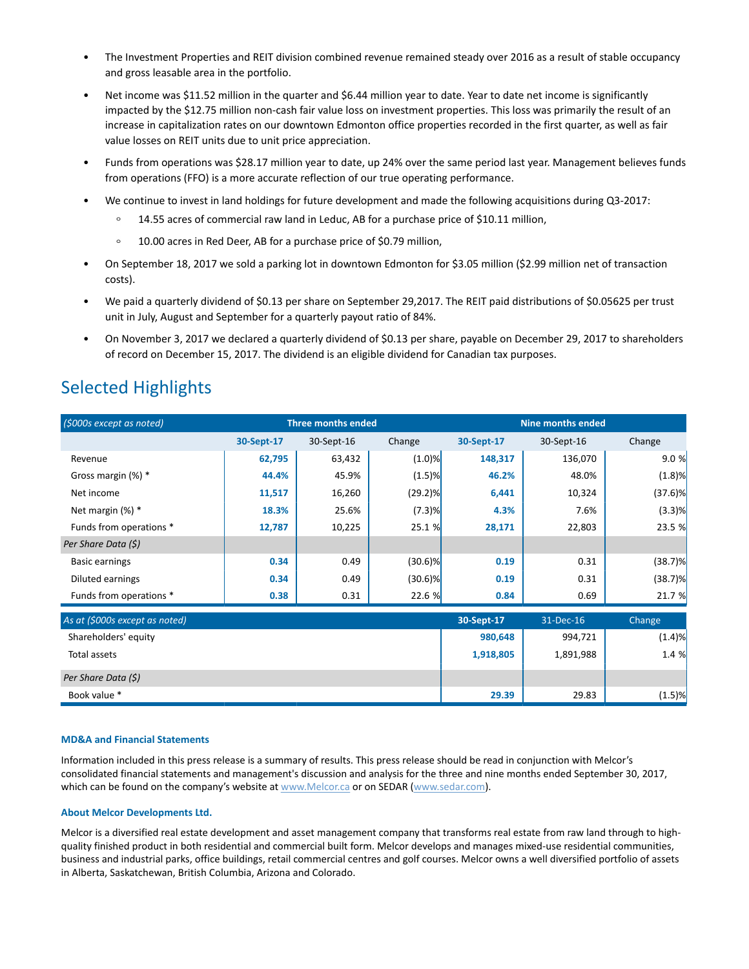- The Investment Properties and REIT division combined revenue remained steady over 2016 as a result of stable occupancy and gross leasable area in the portfolio.
- Net income was \$11.52 million in the quarter and \$6.44 million year to date. Year to date net income is significantly impacted by the \$12.75 million non-cash fair value loss on investment properties. This loss was primarily the result of an increase in capitalization rates on our downtown Edmonton office properties recorded in the first quarter, as well as fair value losses on REIT units due to unit price appreciation.
- Funds from operations was \$28.17 million year to date, up 24% over the same period last year. Management believes funds from operations (FFO) is a more accurate reflection of our true operating performance.
- We continue to invest in land holdings for future development and made the following acquisitions during Q3-2017:
	- 14.55 acres of commercial raw land in Leduc, AB for a purchase price of \$10.11 million,
	- $\circ$ 10.00 acres in Red Deer, AB for a purchase price of \$0.79 million,
- On September 18, 2017 we sold a parking lot in downtown Edmonton for \$3.05 million (\$2.99 million net of transaction costs).
- We paid a quarterly dividend of \$0.13 per share on September 29,2017. The REIT paid distributions of \$0.05625 per trust unit in July, August and September for a quarterly payout ratio of 84%.
- On November 3, 2017 we declared a quarterly dividend of \$0.13 per share, payable on December 29, 2017 to shareholders of record on December 15, 2017. The dividend is an eligible dividend for Canadian tax purposes.

# Selected Highlights

| (\$000s except as noted)        | <b>Three months ended</b> |            |            | <b>Nine months ended</b> |            |            |
|---------------------------------|---------------------------|------------|------------|--------------------------|------------|------------|
|                                 | 30-Sept-17                | 30-Sept-16 | Change     | 30-Sept-17               | 30-Sept-16 | Change     |
| Revenue                         | 62,795                    | 63,432     | $(1.0)$ %  | 148,317                  | 136,070    | 9.0%       |
| Gross margin (%) *              | 44.4%                     | 45.9%      | $(1.5)$ %  | 46.2%                    | 48.0%      | (1.8)%     |
| Net income                      | 11,517                    | 16,260     | $(29.2)$ % | 6,441                    | 10,324     | $(37.6)$ % |
| Net margin (%) *                | 18.3%                     | 25.6%      | (7.3)%     | 4.3%                     | 7.6%       | $(3.3)$ %  |
| Funds from operations *         | 12,787                    | 10,225     | 25.1 %     | 28,171                   | 22,803     | 23.5 %     |
| Per Share Data (\$)             |                           |            |            |                          |            |            |
| Basic earnings                  | 0.34                      | 0.49       | $(30.6)$ % | 0.19                     | 0.31       | (38.7)%    |
| Diluted earnings                | 0.34                      | 0.49       | $(30.6)$ % | 0.19                     | 0.31       | (38.7)%    |
| Funds from operations *         | 0.38                      | 0.31       | 22.6 %     | 0.84                     | 0.69       | 21.7 %     |
| As at $(5000s$ except as noted) |                           |            |            | 30-Sept-17               | 31-Dec-16  | Change     |

| As at (\$000s except as noted) | 30-Sept-17 | 31-Dec-16 | Change    |
|--------------------------------|------------|-----------|-----------|
| Shareholders' equity           | 980,648    | 994,721   | (1.4)%    |
| Total assets                   | 1,918,805  | 1,891,988 | 1.4 %     |
| Per Share Data (\$)            |            |           |           |
| Book value *                   | 29.39      | 29.83     | $(1.5)$ % |

## **MD&A and Financial Statements**

Information included in this press release is a summary of results. This press release should be read in conjunction with Melcor's consolidated financial statements and management's discussion and analysis for the three and nine months ended September 30, 2017, which can be found on the company's website at www.Melcor.ca or on SEDAR (www.sedar.com).

### **About Melcor Developments Ltd.**

Melcor is a diversified real estate development and asset management company that transforms real estate from raw land through to highquality finished product in both residential and commercial built form. Melcor develops and manages mixed-use residential communities, business and industrial parks, office buildings, retail commercial centres and golf courses. Melcor owns a well diversified portfolio of assets in Alberta, Saskatchewan, British Columbia, Arizona and Colorado.